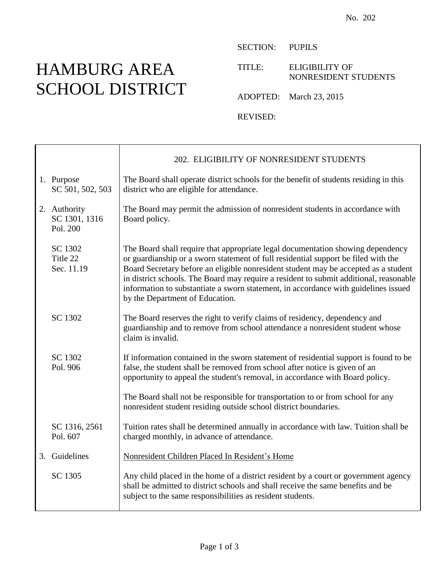## HAMBURG AREA SCHOOL DISTRICT

┱

 $\mathsf{r}$ 

SECTION: PUPILS

TITLE: ELIGIBILITY OF NONRESIDENT STUDENTS

ADOPTED: March 23, 2015

REVISED:

|                                           | 202. ELIGIBILITY OF NONRESIDENT STUDENTS                                                                                                                                                                                                                                                                                                                                                                                                                                         |
|-------------------------------------------|----------------------------------------------------------------------------------------------------------------------------------------------------------------------------------------------------------------------------------------------------------------------------------------------------------------------------------------------------------------------------------------------------------------------------------------------------------------------------------|
| 1. Purpose<br>SC 501, 502, 503            | The Board shall operate district schools for the benefit of students residing in this<br>district who are eligible for attendance.                                                                                                                                                                                                                                                                                                                                               |
| 2. Authority<br>SC 1301, 1316<br>Pol. 200 | The Board may permit the admission of nonresident students in accordance with<br>Board policy.                                                                                                                                                                                                                                                                                                                                                                                   |
| SC 1302<br>Title 22<br>Sec. 11.19         | The Board shall require that appropriate legal documentation showing dependency<br>or guardianship or a sworn statement of full residential support be filed with the<br>Board Secretary before an eligible nonresident student may be accepted as a student<br>in district schools. The Board may require a resident to submit additional, reasonable<br>information to substantiate a sworn statement, in accordance with guidelines issued<br>by the Department of Education. |
| SC 1302                                   | The Board reserves the right to verify claims of residency, dependency and<br>guardianship and to remove from school attendance a nonresident student whose<br>claim is invalid.                                                                                                                                                                                                                                                                                                 |
| SC 1302<br>Pol. 906                       | If information contained in the sworn statement of residential support is found to be<br>false, the student shall be removed from school after notice is given of an<br>opportunity to appeal the student's removal, in accordance with Board policy.                                                                                                                                                                                                                            |
|                                           | The Board shall not be responsible for transportation to or from school for any<br>nonresident student residing outside school district boundaries.                                                                                                                                                                                                                                                                                                                              |
| SC 1316, 2561<br>Pol. 607                 | Tuition rates shall be determined annually in accordance with law. Tuition shall be<br>charged monthly, in advance of attendance.                                                                                                                                                                                                                                                                                                                                                |
| 3. Guidelines                             | Nonresident Children Placed In Resident's Home                                                                                                                                                                                                                                                                                                                                                                                                                                   |
| SC 1305                                   | Any child placed in the home of a district resident by a court or government agency<br>shall be admitted to district schools and shall receive the same benefits and be<br>subject to the same responsibilities as resident students.                                                                                                                                                                                                                                            |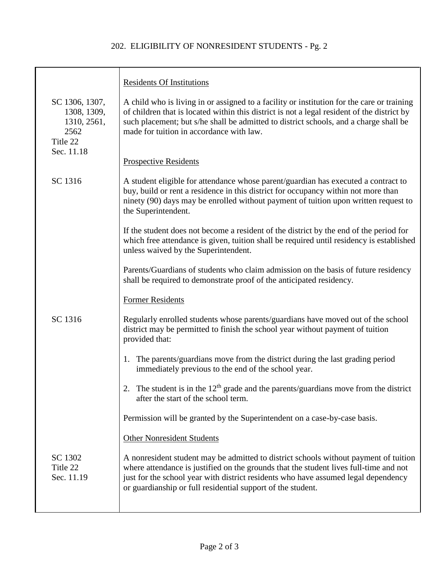## 202. ELIGIBILITY OF NONRESIDENT STUDENTS - Pg. 2

|                                                                                | <b>Residents Of Institutions</b>                                                                                                                                                                                                                                                                                                   |
|--------------------------------------------------------------------------------|------------------------------------------------------------------------------------------------------------------------------------------------------------------------------------------------------------------------------------------------------------------------------------------------------------------------------------|
| SC 1306, 1307,<br>1308, 1309,<br>1310, 2561,<br>2562<br>Title 22<br>Sec. 11.18 | A child who is living in or assigned to a facility or institution for the care or training<br>of children that is located within this district is not a legal resident of the district by<br>such placement; but s/he shall be admitted to district schools, and a charge shall be<br>made for tuition in accordance with law.     |
|                                                                                | <b>Prospective Residents</b>                                                                                                                                                                                                                                                                                                       |
| SC 1316                                                                        | A student eligible for attendance whose parent/guardian has executed a contract to<br>buy, build or rent a residence in this district for occupancy within not more than<br>ninety (90) days may be enrolled without payment of tuition upon written request to<br>the Superintendent.                                             |
|                                                                                | If the student does not become a resident of the district by the end of the period for<br>which free attendance is given, tuition shall be required until residency is established<br>unless waived by the Superintendent.                                                                                                         |
|                                                                                | Parents/Guardians of students who claim admission on the basis of future residency<br>shall be required to demonstrate proof of the anticipated residency.                                                                                                                                                                         |
|                                                                                | <b>Former Residents</b>                                                                                                                                                                                                                                                                                                            |
| SC 1316                                                                        | Regularly enrolled students whose parents/guardians have moved out of the school<br>district may be permitted to finish the school year without payment of tuition<br>provided that:                                                                                                                                               |
|                                                                                | 1. The parents/guardians move from the district during the last grading period<br>immediately previous to the end of the school year.                                                                                                                                                                                              |
|                                                                                | 2. The student is in the $12th$ grade and the parents/guardians move from the district<br>after the start of the school term.                                                                                                                                                                                                      |
|                                                                                | Permission will be granted by the Superintendent on a case-by-case basis.                                                                                                                                                                                                                                                          |
|                                                                                | <b>Other Nonresident Students</b>                                                                                                                                                                                                                                                                                                  |
| SC 1302<br>Title 22<br>Sec. 11.19                                              | A nonresident student may be admitted to district schools without payment of tuition<br>where attendance is justified on the grounds that the student lives full-time and not<br>just for the school year with district residents who have assumed legal dependency<br>or guardianship or full residential support of the student. |